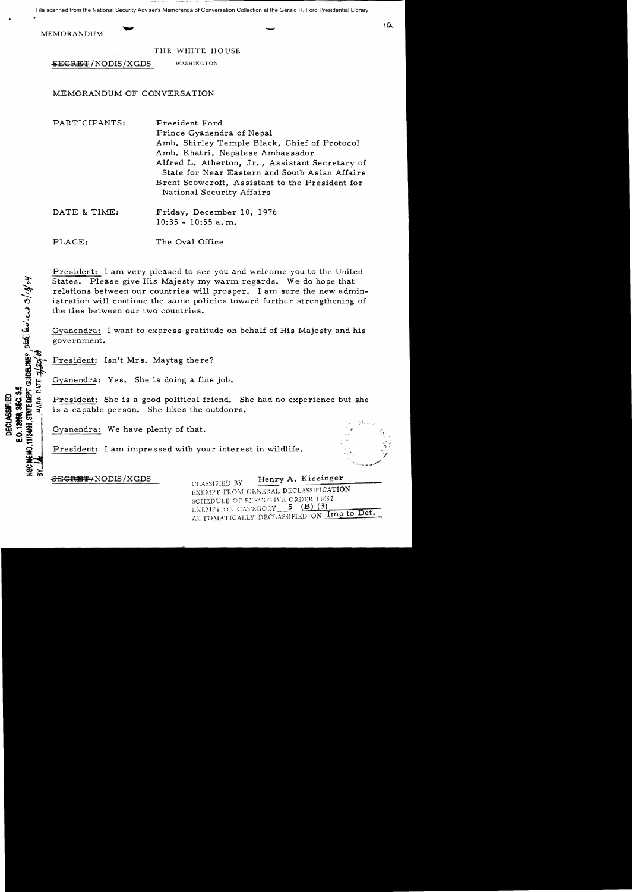**MEMORANDUM** 

THE WHITE HOUSE WASHINGTON

SEGRET/NODIS/XGDS

MEMORANDUM OF CONVERSATION

President Ford PARTICIPANTS: Prince Gyanendra of Nepal Amb. Shirley Temple Black, Chief of Protocol Amb. Khatri, Nepalese Ambassador Alfred L. Atherton, Jr., Assistant Secretary of State for Near Eastern and South Asian Affairs Brent Scowcroft. Assistant to the President for National Security Affairs Friday, December 10, 1976 DATE & TIME:  $10:35 - 10:55$  a.m.

The Oval Office PLACE:

President: I am very pleased to see you and welcome you to the United States. Please give His Majesty my warm regards. We do hope that relations between our countries will prosper. I am sure the new administration will continue the same policies toward further strengthening of the ties between our two countries.

Gyanendra: I want to express gratitude on behalf of His Majesty and his government.

President: Isn't Mrs. Maytag there?

Gyanendra: Yes. She is doing a fine job.

President: She is a good political friend. She had no experience but she is a capable person. She likes the outdoors.

Gyanendra: We have plenty of that.

President: I am impressed with your interest in wildlife.

<del>SECRET/</del>NODIS/XGDS

USC MEMO, 1112498, STATE DIEPT. GUIDELINES, SEAL BOUS ON 3/04

E.O. 12058, SEC. 3.5 **DECLASSIFIED** 

HARA DATE 77

Henry A. Kissinger CLASSIFIED BY EXEMPT FROM GENERAL DECLASSIFICATION SCHEDULE OF EXECUTIVE ORDER 11652 EXEMPTION CATEGORY 5 (B)  $(3)$ AUTOMATICALLY DECLASSIFIED ON Imp to Det.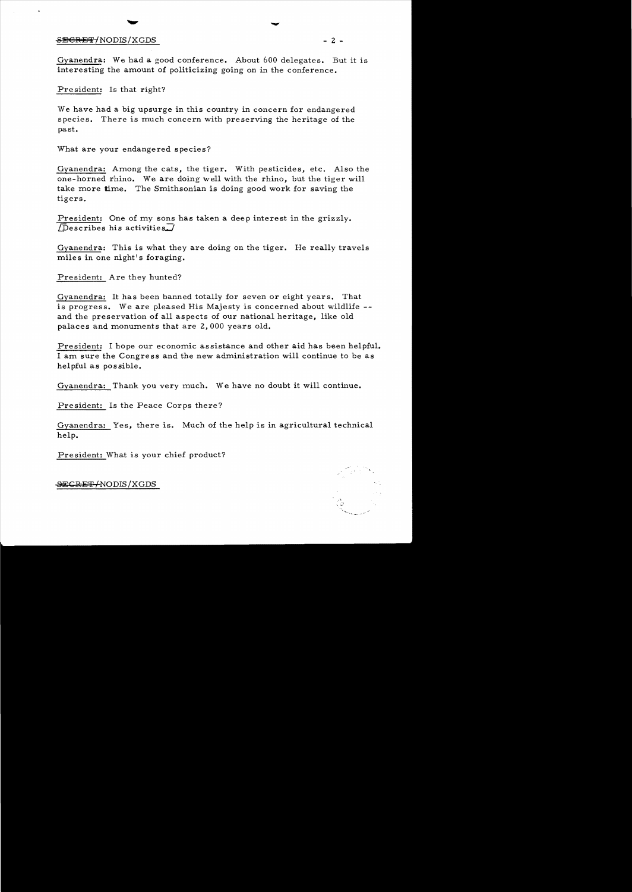## SECRET/NODIS/XGDS - 2 -

Gyanendra: We had a good conference. About 600 delegates. But it is interesting the amount of politicizing going on in the conference.

Pre sident: Is that right?

We have had a big upsurge in this country in concern for endangered species. There is much concern with preserving the heritage of the past.

What are your endangered species?

Gyanendra: Among the cats, the tiger. With pesticides, etc. Also the one-horned rhino. We are doing well with the rhino, but the tiger will take more time. The Smithsonian is doing good work for saving the tigers.

President: One of my sons has taken a deep interest in the grizzly.  $\sqrt{\text{Descrites}}$  his activities.

Gyanendra: This is what they are doing on the tiger. He really travels miles in one night's foraging.

President: Are they hunted?

Gyanendra: It has been banned totally for seven or eight years. That is progress. We are pleased His Majesty is concerned about wildlife and the preservation of all as pects of our national heritage, like old palaces and monuments that are 2, 000 years old.

President: I hope our economic assistance and other aid has been helpful. I am sure the Congress and the new administration will continue to be as helpful as possible.

Gyanendra: Thank you very much. We have no doubt it will continue.

President: Is the Peace Corps there?

Gyanendra: Yes, there is. Much of the help is in agricultural technical help.

President: What is your chief product?

.'.

<del>SECRET/</del>NODIS/XGDS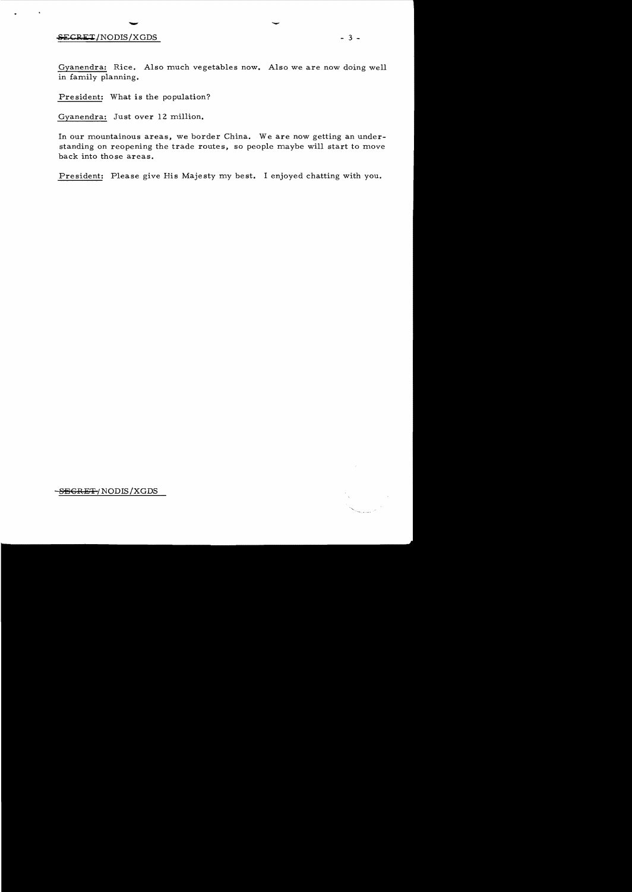# $\frac{1}{\sqrt{2}}$  - 3 - SECRET/NODIS/XGDS

Gyanendra: Rice. Also much vegetables now. Also we are now doing well in family planning.

President: What is the population?

Gyanendra: Just over 12 million.

In our mountainous areas, we border China. We are now getting an understanding on reopening the trade routes, so people maybe will start to move back into those areas.

President: Please give His Majesty my best. I enjoyed chatting with you.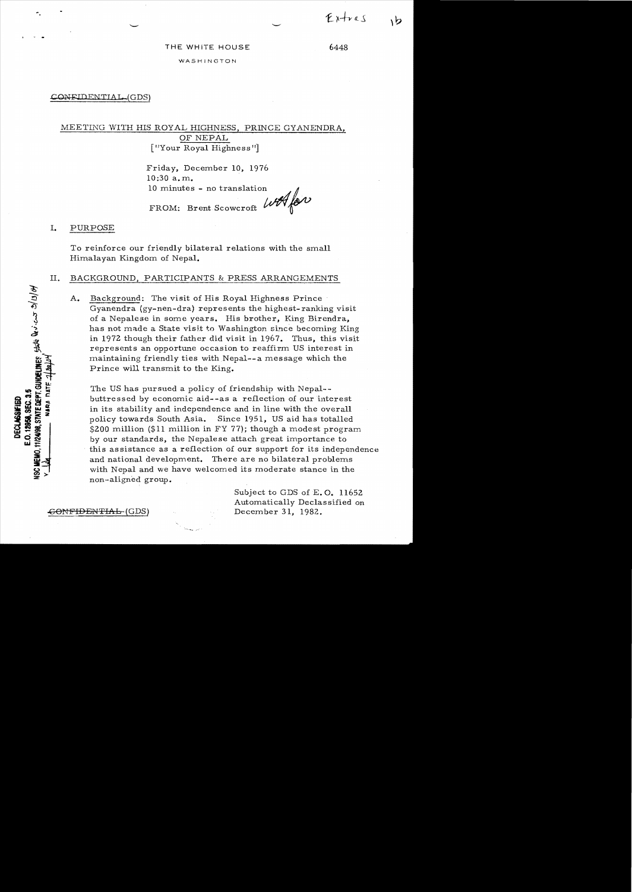#### THE WHITE HOUSE 6448

 $E$ xtras

ヽb

WASHINGTON

## CONFIDENTIAL (GDS)

# MEETING WITH HIS ROYAL HIGHNESS, PRINCE GYANENDRA, OF NEPAL  $\lceil$ <sup>u</sup>Your Royal Highness<sup>"</sup>]

Friday, December 10, 1976 10;30 a. m. 10 minutes - no translation  $\mathcal{M}$ FROM: Brent Scowcroft  $~\mu$ HA

## I. PURPOSE

EMO, 11/2498, STATE DEPT. GUNDELINES, 5566 000.05 3/13/04<br>FMO, 11/2498, STATE DEPT. GUNDELINES, 5566 000.05 3/13/04

E.O. 12958, SEC. 3.5 **DECLASSIFIED** 

NARA DATE

To reinforce our friendly bilateral relations with the small Himalayan Kingdom of Nepal.

### II. BACKGROUND, PARTICIPANTS & PRESS ARRANGEMENTS

A. Background: The visit of His Royal Highness Prince Gyanendra (gy-nen-dra) represents the highest-ranking visit of a Nepalese in some years. His brother, King Birendra, has not made a State visit to Washington since becoming King in 1972 though their father did visit in 1967. Thus, this visit represents an opportune occasion to reaffirm US interest in maintaining friendly ties with Nepal--a message which the Prince will transmit to the King.

The US has pursued a policy of friendship with Nepal buttressed by economic aid--as a reflection of our interest in its stability and independence and in line with the overall policy towards South Asia. Since 1951, US aid has totalled \$200 million (\$11 million in FY 77); though a modest program by our standards, the Nepalese attach great importance to this as sistance as a reflection of our support for its independence and national development. There are no bilateral problems with Nepal and we have welcomed its moderate stance in the non-aligned group.

> Subject to GDS of  $E. O. 11652$ Automatically Declassified on

 $\text{GONFIDENTHA-L (GDS)} \hspace{20pt} \text{December 31, 1982.}$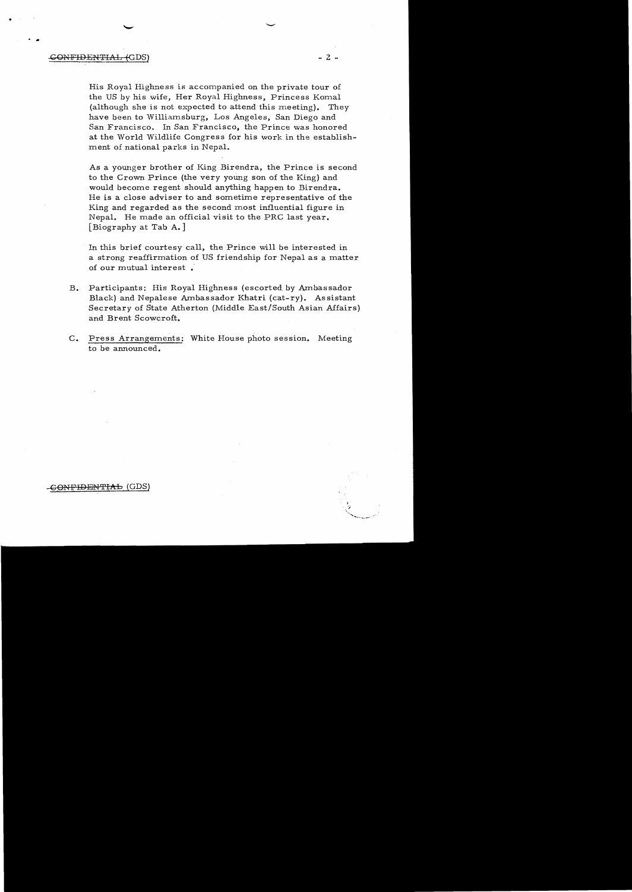•

. ..

His Royal Highness is accompanied on the private tour of the US by his wife, Her Royal Highness, Princess Komal (although she is not expected to attend this meeting). They have been to Williamsburg, Los Angeles, San Diego and San Francisco. In San Francisco, the Prince was honored at the World Wildlife Congress for his work in the establishment of national parks in Nepal.

As a younger brother of King Birendra, the Prince is second to the Crown Prince (the very young son of the King) and would become regent should anything happen to Birendra. He is a close adviser to and sometime representative of the King and regarded as the second most influential figure in Nepal. He made an official visit to the PRC last year. [Biography at Tab A. ]

In this brief courtesy call, the Prince will be interested in a strong reaffirmation of US friendship for Nepal as a matter of our mutual interest ..

- B. Participants: His Royal Highness (escorted by Ambassador Black) and Nepalese Ambassador Khatri (cat-ry). Assistant Secretary of State Atherton (Middle East/South Asian Affairs) and Brent Scowcroft.
- C. Press Arrangements: White House photo session. Meeting to be announced.

<del>SONFIDENTIAL</del> (GDS)

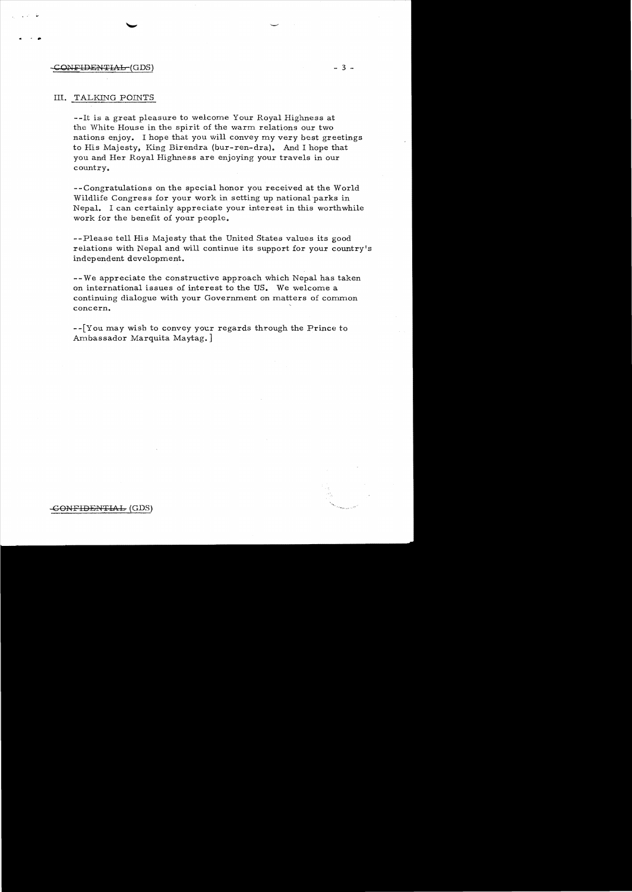## -CONFIDENTIAL (GDS) 3 -

· .

## III. TALKING POINTS

--It is a great pleasure to welcome Your Royal Highness at the White House in the spirit of the warm relations our two nations enjoy. I hope that you will convey my very best greetings to His Majesty, King Birendra (bur-ren-dra). And I hope that you and Her Royal Highness are enjoying your travels in our country.

--Congratulations on the special honor you received at the World Wildlife Congress for your work in setting up national parks in Nepal. I can certainly appreciate your interest in this worthwhile work for the benefit of your people.

--Please tell His Majesty that the United States values its good relations with Nepal and will continue its support for your country's independent development.

**--** We appreciate the constructive approach which Nepal has taken on international issues of interest to the US. We welcome a continuing dialogue with your Government on matters of common concern.

--[You may wish to convey your regards through the Prince to Ambassador Marquita Maytag. ]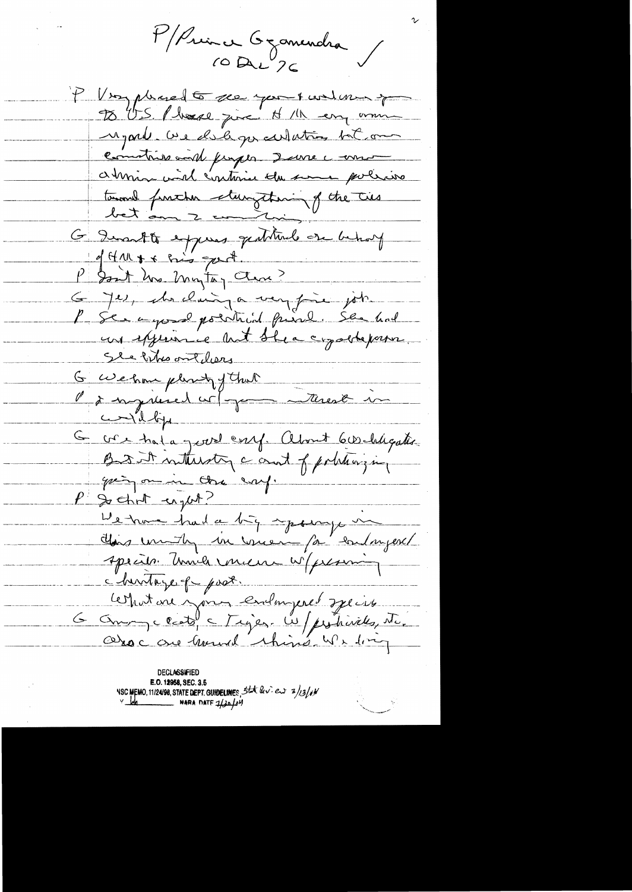P/Prince Gramendra

P Un plused to see you t will no you D US Phase que A 1h en min nyont we did you carlation but on Communissement proper save comme amin viel contain une some policie tournel function staingthing of the ties G Insert experts quititant on behory of Hall + + Big quet P Sont Mr. Mytay Au ? 6 Je, che chain a very fine job un afjerance mat shea coportepara Sle bike ont deers G cu emme plusty y that  $C = \frac{1}{4\pi\epsilon_0}$ G cre hatagevel eny. About 600 hiligation quinq min con enf. P 20 that englest? We have had a big springe un Hois un the in une fa contingent specier Unier meur W/pressing chentage past. Commentaire de la Commerce speine

**DECLASSIFIED** E.O. 12958, SEC. 3.5 NSC MEMO, 11/24/98, STATE DEPT. GUIDELINES, 5th Qui en 2/13/14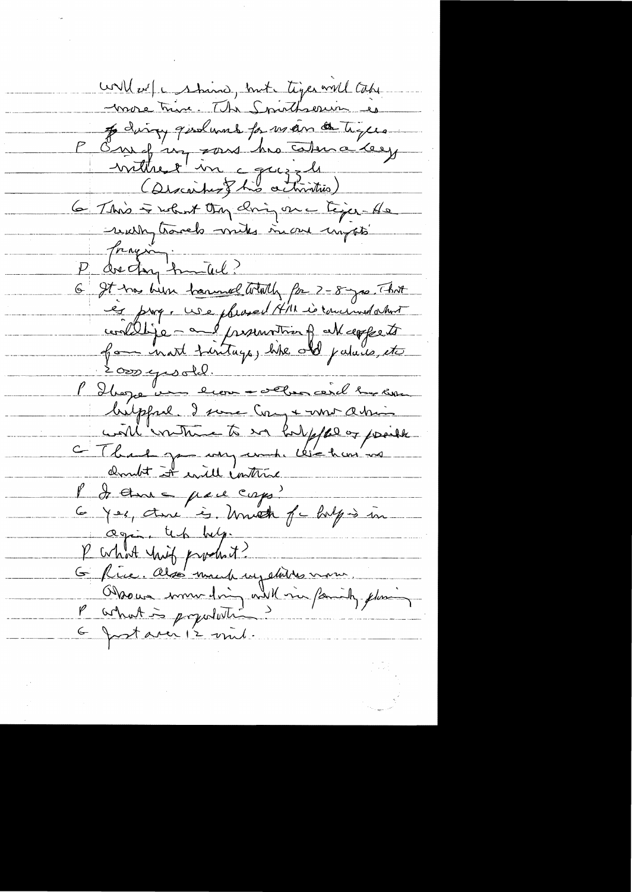will at a shind, but tiges will take more trine. The Spirithserin es Je dirigy good und for man the tigers P One of my sons has taken a league mittres in cquizle (Discribes 8 his activities) 6 This & what Ony dring one tiger- He with travels mike income unpots fraging P drectory hunter? 6 St has him bannel totally for 2-8 year That es prog. We plused Hill is commentation contélisje - au presention par despects <u>2000 yesold.</u> P Illoye une lieu - vélier cerd les com bippul. I sure Cong & uno abin will interest in helpfalos poile C Thank je very un les huisses P I Aure par caps )<br>G jes, Aure is, Unich fc hys in agen, the help. V What high product? G fine. Also much my doites nom Obsour sommeting will me family plan G fostarer 12 mil.